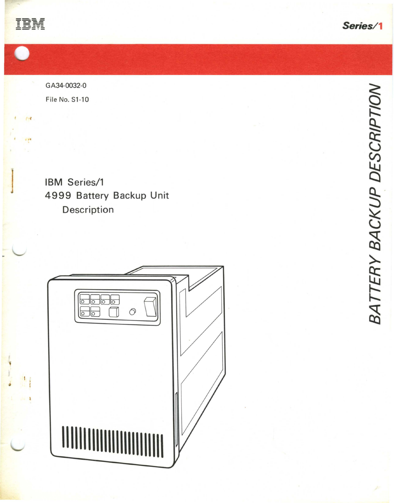

 $\mathbf{I}$ 

I

 $f$  (  $f$ 

..

.

I • **Series/1** 

GA34-0032-0 File No. 51-10

**IBM Series/1 4999 Battery Backup Unit Description** 

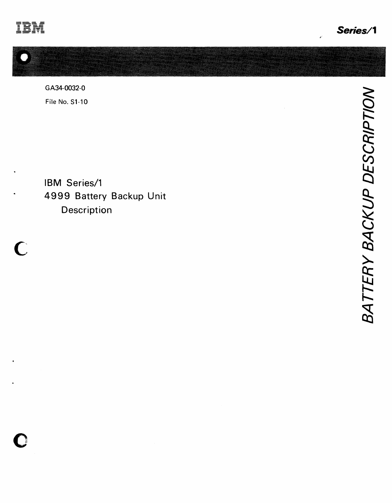c

 $\bigcap$ 



GA34-0032-0 File No. 51-10

IBM Series/1 4999 Battery Backup Unit Description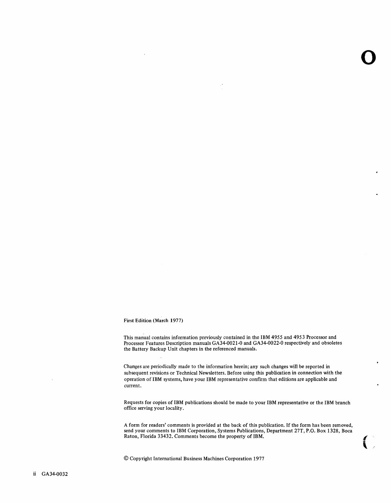#### First Edition (March 1977)

This manual contains information previously contained in the IBM 4955 and 4953 Processor and Processor Features Description manuals GA34-0021-0 and GA34-0022-0 respectively and obsoletes the Battery Backup Unit chapters in the referenced manuals.

o

 $\overline{C}$ 

Changes are periodically made to the information herein; any such changes will be reported in subsequent revisions or Technical Newsletters. Before using this publication in connection with the operation of IBM systems, have your IBM representative confirm that editions are applicable and current.

Requests for copies of IBM publications should be made to your IBM representative or the IBM branch office serving your locality.

A form for readers' comments is provided at the back of this publication. If the form has been removed, send your comments to IBM Corporation, Systems Publications, Department 27T, P.O. Box 1328, Boca Raton, Florida 33432. Comments become the property of IBM. ~

© Copyright International Business Machines Corporation 1977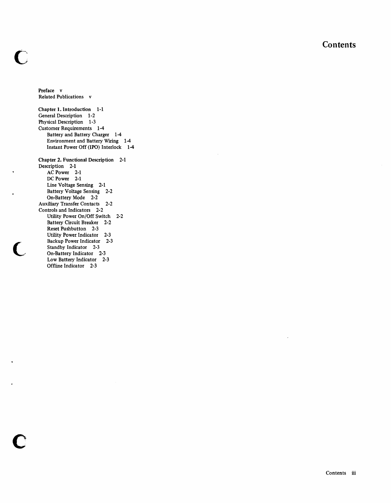**Contents** 

Preface v Related Publications v Chapter 1. Introduction 1-1 General Description 1-2 Physical Description 1-3 Customer Requirements 1-4 Battery and Battery Charger 1-4 Environment and Battery Wiring 1-4 Instant Power Orf (lPO) Interlock 1-4 Chapter 2. Functional Description 2-1 Description 2-1 AC Power 2-1 DC Power 2-1 Line Voltage Sensing 2-1 Battery Voltage Sensing 2-2 On-Battery Mode 2-2 Auxiliary Transfer Contacts 2-2 Controls and Indicators 2-2 Utility Power On/Off Switch 2-2 Battery Circuit Breaker 2-2 Reset Pushbutton 2-3 Utility Power Indicator 2-3 Backup Power Indicator 2-3 Standby Indicator 2-3 On-Battery Indicator 2-3 Low Battery Indicator 2-3 Offline Indicator 2-3

c

c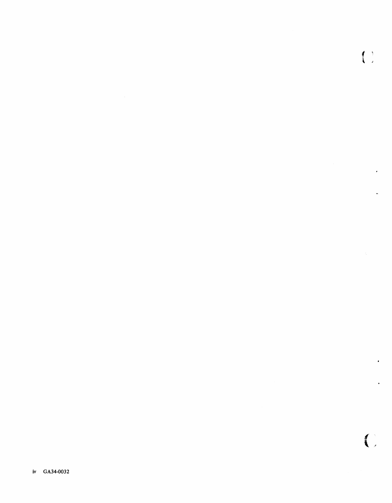iv GA34-0032

 $\left(\begin{array}{c} 1 \\ 1 \end{array}\right)$ 

 $\cdot$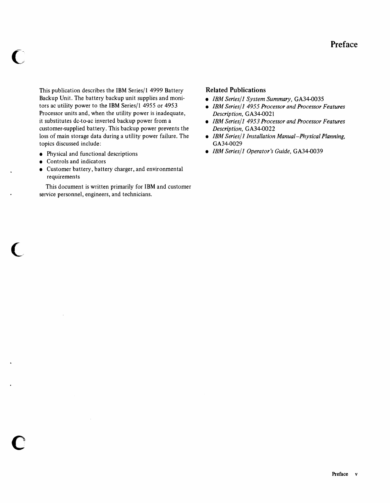This publication describes the IBM Series/l 4999 Battery Backup Unit. The battery backup unit supplies and monitors ac utility power to the IBM Series/l 4955 or 4953 Processor units and, when the utility power is inadequate, it substitutes dc-to-ac inverted backup power from a customer-supplied battery. This backup power prevents the loss of main storage data during a utility power failure. The topics discussed include:

- Physical and functional descriptions
- Controls and indicators

c

• Customer battery, battery charger, and environmental requirements

This document is written primarily for IBM and customer service personnel, engineers, and technicians.

#### Related Publications

- *IBM Series/l System Summary,* GA34-0035
- *IBM Series/l* 4955 *Processor and Processor Features Description,* GA34-0021
- *IBM Series/l* 4953 *Processor and Processor Features Description,* GA34-0022
- *IBM Series/l Installation Manual-Physical Planning,*  GA34-0029
- *IBM Series/l Operator's Guide,* GA34-0039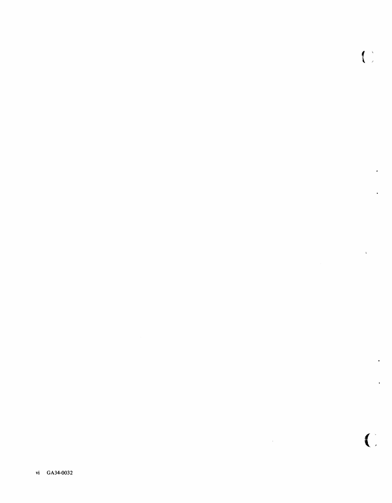$\ddot{\phantom{0}}$ 

 $\mathbf{k}$ 

 $\blacksquare$ 

 $\sim$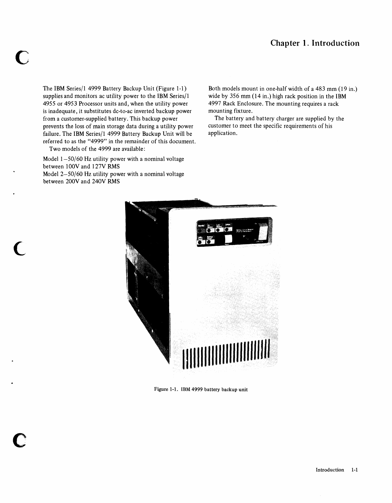# **Chapter 1. Introduction**

The **IBM** Series/I 4999 Battery Backup Unit (Figure 1-1) supplies and monitors ac utility power to the **IBM** Series/l 4955 or 4953 Processor units and, when the utility power is inadequate, it substitutes dc-to-ac inverted backup power from a customer-supplied battery. This backup power prevents the loss of main storage data during a utility power failure. The **IBM** Series/I 4999 Battery Backup Unit will be referred to as the "4999" in the remainder of this document.

Two models of the 4999 are available:

c

c

Model  $1-50/60$  Hz utility power with a nominal voltage between 100V and 127V RMS Model 2-50/60 Hz utility power with a nominal voltage between 200V and 240V RMS

Both models mount in one-half width of a 483 mm (19 in.) wide by 356 mm (14 in.) high rack position in the **IBM**  4997 Rack Enclosure. The mounting requires a rack mounting fixture.

The battery and battery charger are supplied by the customer to meet the specific requirements of his application.



Figure 1-1. IBM 4999 battery backup unit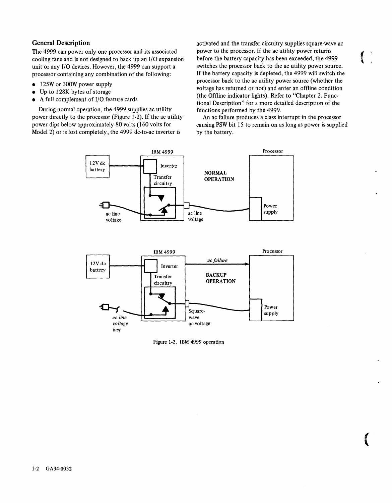### **General Description**

The 4999 can power only one processor and its associated cooling fans and is not designed to back up an I/O expansion unit or any I/O devices. However, the 4999 can support a processor containing any combination of the following:

- 125W or 300W power supply
- Up to 128K bytes of storage
- A full complement of I/O feature cards

During normal operation, the 4999 supplies ac utility power directly to the processor (Figure 1-2). If the ac utility power dips below approximately 80 volts (160 volts for Model 2) or is lost completely, the 4999 dc-to-ac inverter is

activated and the transfer circuitry supplies square-wave ac power to the processor. If the ac utility power returns before the battery capacity has been exceeded, the 4999 switches the processor back to the ac utility power source. If the battery capacity is depleted, the 4999 will switch the processor back to the ac utility power source (whether the voltage has returned or not) and enter an offline condition (the Offline indicator lights). Refer to "Chapter 2. Functional Description" for a more detailed description of the functions performed by the 4999.

An ac failure produces a class interrupt in the processor causing PSW bit 15 to remain on as long as power is supplied by the battery.

> I  $\tilde{\tilde{\mathbf{z}}}$



Figure 1-2. IBM 4999 operation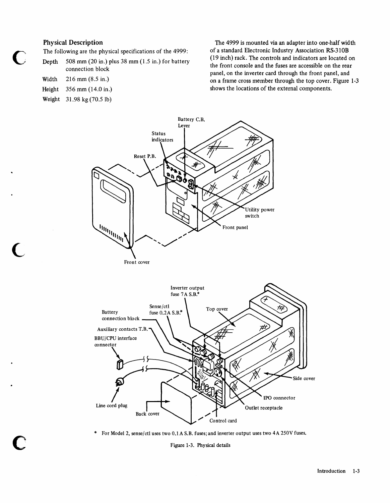#### Physical Description

 $\begin{bmatrix} 1 & 1 \ 1 & 2 \end{bmatrix}$ 

c

The following are the physical specifications of the 4999:

Depth 508 mm (20 in.) plus 38 mm (1.5 in.) for battery connection block

Width 216 mm (8.5 in.) Height 356 mm (14.0 in.)

Weight 31.98 kg (70.5 lb)

The 4999 is mounted via an adapter into one-half width of a standard Electronic Industry Association RS-310B (19 inch) rack. The controls and indicators are located on the front console and the fuses are accessible on the rear panel, on the inverter card through the front panel, and on a frame cross member through the top cover. Figure 1-3 shows the locations of the external components.



For Model 2, sense/ctl uses two 0.1 A S.B. fuses; and inverter output uses two 4A 250V fuses.

Figure 1-3. Physical details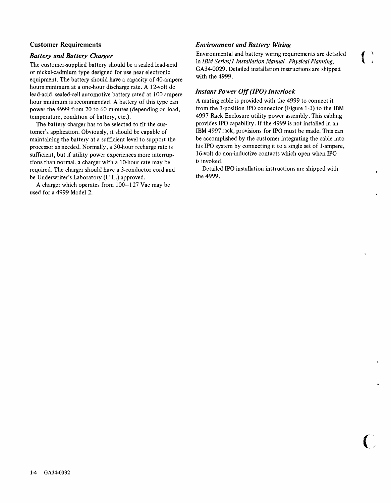### Customer Requirements

### *Battery and Battery Charger*

The customer-supplied battery should be a sealed lead-acid or nickel-cadmium type designed for use near electronic equipment. The battery should have a capacity of 40-ampere hours minimum at a one-hour discharge rate. A 12-volt dc lead-acid, sealed-cell automotive battery rated at 100 ampere hour minimum is recommended. A battery of this type can power the 4999 from 20 to 60 minutes (depending on load, temperature, condition of battery, etc.).

The battery charger has to be selected to fit the customer's application. Obviously, it should be capable of maintaining the battery at a sufficient level to support the processor as needed. Normally, a 30-hour recharge rate is sufficient, but if utility power experiences more interruptions than normal, a charger with a 10-hour rate may be required. The charger should have a 3-conductor cord and be Underwriter's Laboratory (U.L.) approved.

A charger which operates from 100-127 Vac may be used for a 4999 Model 2.

### *Environment and Battery Wiring*

Environmental and battery wiring requirements are detailed in *IBM Series/l Installation Manual-Physical Planning,*  GA34-0029. Detailed installation instructions are shipped with the 4999.

### *Instant Power Off (IPO) Interlock*

A mating cable is provided with the 4999 to connect it from the 3-position IPO connector (Figure 1-3) to the IBM 4997 Rack Enclosure utility power assembly. This cabling provides IPO capability. If the 4999 is not installed in an IBM 4997 rack, provisions for IPO must be made. This can be accomplished by the customer integrating the cable into his IPO system by connecting it to a single set of I-ampere, 16-volt dc non-inductive contacts which open when IPO is invoked.

Detailed IPO installation instructions are shipped with the 4999.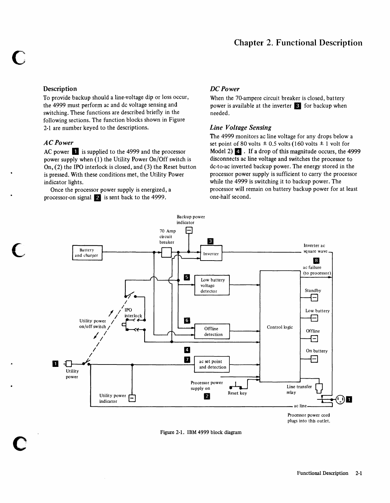#### **Description**

c

c

c

To provide backup should a line-voltage dip or loss occur, the 4999 must perform ac and dc voltage sensing and switching. These functions are described briefly in the following sections. The function blocks shown in Figure 2-1 are number keyed to the descriptions.

#### *AC Power*

AC power  $\blacksquare$  is supplied to the 4999 and the processor power supply when (1) the Utility Power On/Off switch is On, (2) the IPO interlock is closed, and (3) the Reset button is pressed. With these conditions met, the Utility Power indicator lights.

Once the processor power supply is energized, a processor-on signal  $\overline{2}$  is sent back to the 4999.

### *DC Power*

When the 70-ampere circuit breaker is closed, battery power is available at the inverter  $\mathbf{S}$  for backup when needed.

#### *Line Voltage Sensing*

The 4999 monitors ac line voltage for any drops below a set point of 80 volts  $\pm$  0.5 volts (160 volts  $\pm$  1 volt for Model 2)  $\blacksquare$ . If a drop of this magnitude occurs, the 4999 disconnects ac line voltage and switches the processor to dc-to-ac inverted backup power. The energy stored in the processor power supply is sufficient to carry the processor while the 4999 is switching it to backup power. The processor will remain on battery backup power for at least one-half second.



plugs into this outlet.

Figure 2-1. IBM 4999 block diagram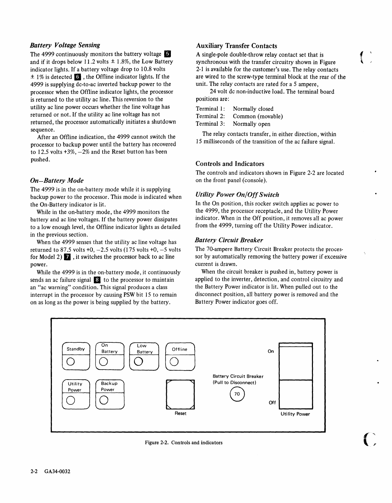### *Battery Voltage Sensing*

The 4999 continuously monitors the battery voltage  $\overline{5}$ and if it drops below 11.2 volts  $\pm$  1.8%, the Low Battery indicator lights. If a battery voltage drop to 10.8 volts  $\pm$  1% is detected **6**, the Offline indicator lights. If the 4999 is supplying dc-to-ac inverted backup power to the processor when the Offline indicator lights, the processor is returned to the utility ac line. This reversion to the utility ac line power occurs whether the line voltage has returned or not. If the utility ac line voltage has not returned, the processor automatically initiates a shutdown sequence.

After an Offline indication, the 4999 cannot switch the processor to backup power until the battery has recovered to 12.5 volts  $+3\%,-2\%$  and the Reset button has been pushed.

### *On-Battery Mode*

The 4999 is in the on-battery mode while it is supplying backup power to the processor. This mode is indicated when the On-Battery indicator is lit.

While in the on-battery mode, the 4999 monitors the battery and ac line voltages. If the battery power dissipates to a low enough level, the Offline indicator lights as detailed in the previous section.

When the 4999 senses that the utility ac line voltage has returned to 87.5 volts  $+0$ ,  $-2.5$  volts (175 volts  $+0$ ,  $-5$  volts for Model 2)  $\blacksquare$ , it switches the processor back to ac line power.

While the 4999 is in the on-battery mode, it continuously sends an ac failure signal  $\mathbf{\mathcal{E}}$  to the processor to maintain an "ac warning" condition. This signal produces a class interrupt in the processor by causing PSW bit 15 to remain on as long as the power is being supplied by the battery.

### Auxiliary Transfer Contacts

A single-pole double-throw relay contact set that is synchronous with the transfer circuitry shown in Figure 2-1 is available for the customer's use. The relay contacts are wired to the screw-type terminal block at the rear of the unit. The relay contacts are rated for a 5 ampere,

(  $\ddot{\tilde{\mathbf{z}}}$ 

 $\overline{C}$ 

24 volt dc non-inductive load. The terminal board positions are:

| Terminal 1: | Normally closed  |
|-------------|------------------|
| Terminal 2: | Common (movable) |

Terminal 3: Normally open

The relay contacts transfer, in either direction, within 15 milliseconds of the transition of the ac failure signal.

#### Controls and Indicators

The controls and indicators shown in Figure 2-2 are located on the front panel (console).

### *Utility Power On/Off Switch*

In the On position, this rocker switch applies ac power to the 4999, the processor receptacle, and the Utility Power indicator. When in the Off position, it removes all ac power from the 4999, turning off the Utility Power indicator.

### *Battery Circuit Breaker*

The 70-ampere Battery Circuit Breaker protects the processor by automatically removing the battery power if excessive current is drawn.

When the circuit breaker is pushed in, battery power is applied to the inverter, detection, and control circuitry and the Battery Power indicator is lit. When pulled out to the disconnect position, all battery power is removed and the Battery Power indicator goes off.



Figure 2-2. Controls and indicators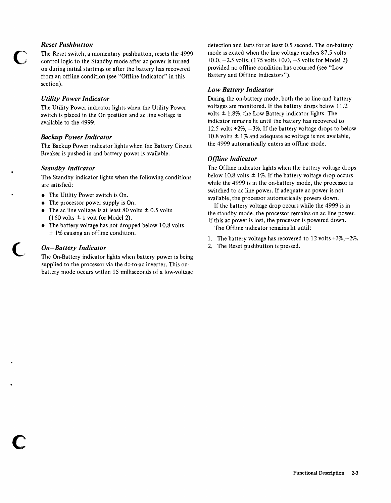### *Reset Pushbutton*

The Reset switch, a momentary pushbutton, resets the 4999 control logic to the Standby mode after ac power is turned on during initial startings or after the battery has recovered from an offline condition (see "Offline Indicator" in this section).

### *Utility Power Indicator*

The Utility Power indicator lights when the Utility Power switch is placed in the On position and ac line voltage is available to the 4999.

### *Backup Power Indicator*

The Backup Power indicator lights when the Battery Circuit Breaker is pushed in and battery power is available.

### *Standby Indicator*

The Standby indicator lights when the following conditions are satisfied:

- The Utility Power switch is On.
- The processor power supply is On.
- The ac line voltage is at least 80 volts  $\pm$  0.5 volts  $(160 \text{ volts} \pm 1 \text{ volt} \text{ for Model } 2).$
- The battery voltage has not dropped below 10.8 volts  $± 1\%$  causing an offline condition.

## *On-Battery Indicator*

c

The On-Battery indicator lights when battery power is being supplied to the processor via the dc-to-ac inverter. This onbattery mode occurs within 15 milliseconds of a low-voltage

detection and lasts for at least 0.5 second. The on-battery mode is exited when the line voltage reaches 87.5 volts  $+0.0, -2.5$  volts,  $(175 \text{ volts} +0.0, -5 \text{ volts}$  for Model 2) provided no offline condition has occurred (see "Low Battery and Offline Indicators").

## *Low Battery Indicator*

During the on-battery mode, both the ac line and battery voltages are monitored. If the battery drops below 11.2 volts  $\pm$  1.8%, the Low Battery indicator lights. The indicator remains lit until the battery has recovered to 12.5 volts  $+2\%$ ,  $-3\%$ . If the battery voltage drops to below 10.8 volts  $\pm$  1% and adequate ac voltage is not available, the 4999 automatically enters an offline mode.

### *Offline Indicator*

The Offline indicator lights when the battery voltage drops below 10.8 volts  $\pm$  1%. If the battery voltage drop occurs while the 4999 is in the on-battery mode, the processor is switched to ac line power. If adequate ac power is not available, the processor automatically powers down.

If the battery voltage drop occurs while the 4999 is in the standby mode, the processor remains on ac line power. If this ac power is lost, the processor is powered down.

The Offline indicator remains lit until:

- 1. The battery voltage has recovered to 12 volts +3%,-2%.
- 2. The Reset pushbutton is pressed.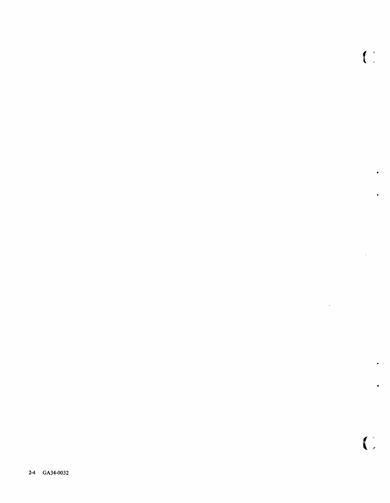2-4 GA34-0032

 $\bullet$ 

 $\bullet$ 

 $\bullet$ 

l.

 $\mathcal{C}$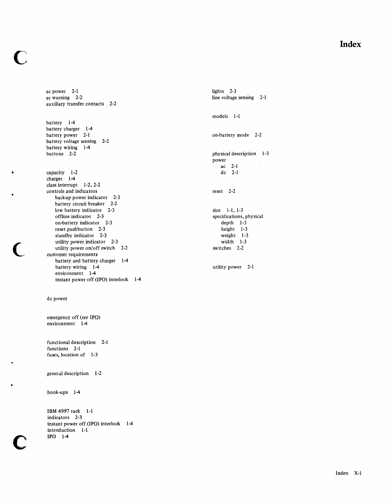# **Index**

ac power 2-1 ac warning 2-2 auxiliary transfer contacts 2-2

 $\blacktriangledown$ 

•

 $\mathsf C$ 

c

battery 1-4 battery charger 1-4 battery power 2-1 battery voltage sensing 2-2 battery wiring 1-4 buttons 2-2

capacity 1-2 charger 1-4 class interrupt  $1-2$ , 2-2 controls and indicators backup power indicator 2-3 battery circuit breaker 2-2 low battery indicator 2-3 offline indicator 2-3 on-battery indicator 2-3 reset pushbutton 2-3 standby indicator 2-3 utility power indicator 2-3 utility power on/off switch 2-2 customer requirements battery and battery charger 1-4 battery wiring 1-4 environment 1-4 instant power off (IPO) interlock 1-4

dc power

emergency off (see IPO) environment 1-4

functional description 2-1 functions 2-1 fuses, location of 1-3

general description 1-2

hook-ups 1-4

IBM 4997 rack 1-1 indicators 2-3 instant power off (lPO) interlock 1-4 introduction 1-1 IPO 1-4

lights 2-3 line voltage sensing 2-1 models 1-1 on-battery mode 2-2 physical description 1-3 power ac 2-1  $\ddot{\phantom{1}}$ dc 2-1 reset 2-2 size 1-1, 1-3 specifications, physical depth 1-3 height 1-3 weight 1-3 width 1-3 switches 2-2 utility power 2-1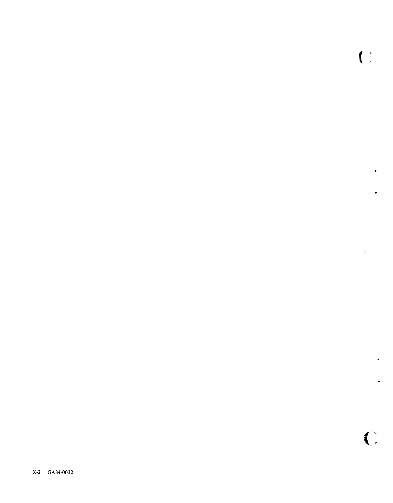X-2 GA34-0032

 $\bigcap$ 

 $\overline{\mathcal{L}}$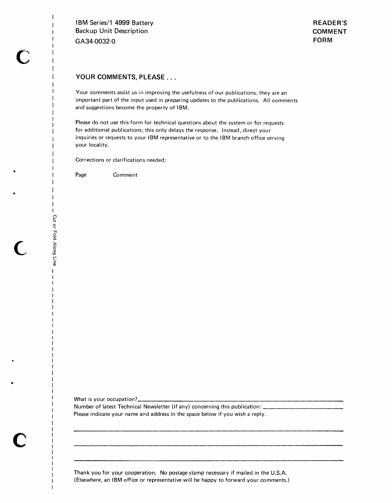IBM Series/1 4999 Battery Backup Unit Description GA34-0032-0

c

•

Cut or

 $\mathbf{I}$ 

 $\mathbf{I}$ 

•

c

READER'S COMMENT FORM

## YOUR COMMENTS, PLEASE . . .

Your comments assist us in improving the usefulness of our publications; they are an important part of the input used in preparing updates to the publications. All comments and suggestions become the property of IBM.

Please do not use this form for technical questions about the system or for requests for additional publications; this only delays the response. Instead, direct your inquiries or requests to your IBM representative or to the IBM branch office serving your locality.

Corrections or clarifications needed:

Page Comment

What is your occupation?

Number of latest Technical Newsletter (if any) concerning this publication: \_ Please indicate your name and address in the space below if you wish a reply.

Thank you for your cooperation. No postage stamp necessary if mailed in the U.S.A. (Elsewhere, an I BM office or representative will be happy to forward your comments.)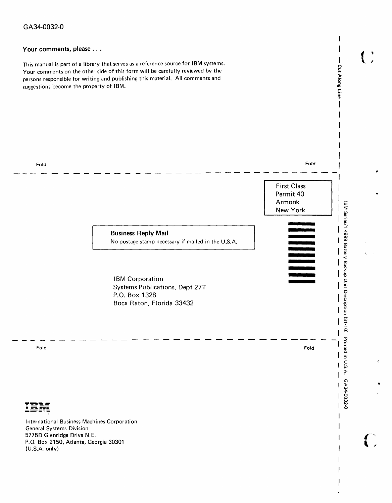#### Your comments, please . . .

This manual is part of a library that serves as a reference source for IBM systems. Your comments on the other side of this form will be carefully reviewed by the persons responsible for writing and publishing this material. All comments and suggestions become the property of IBM.



I

Cut Along Line

I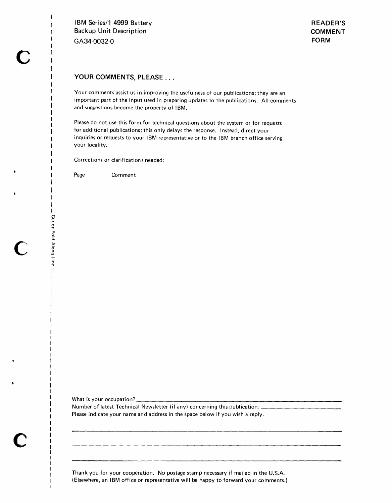IBM Series/1 4999 Battery Backup Unit Description GA34-0032-0

c

 $\sum_{\text{even} \text{ non--} }$ 

c

 $\overline{\phantom{a}}$ J long Line

 $\overline{1}$ 

 $\mathbf{I}$ 

READER'S COMMENT FORM

### YOUR COMMENTS, PLEASE . . .

Your comments assist us in improving the usefulness of our publications; they are an important part of the input used in preparing updates to the publications. All comments and suggestions become the property of IBM.

Please do not use this form for technical questions about the system or for requests for additional publications; this only delays the response. Instead, direct your inquiries or requests to your IBM representative or to the IBM branch office serving your locality.

Corrections or clarifications needed:

Page Comment

What is your occupation?\_

Number of latest Technical Newsletter (if any) concerning this publication:  $\_\_$ Please indicate your name and address in the space below if you wish a reply.

Thank you for your cooperation. No postage stamp necessary if mailed in the U.S.A. (Elsewhere, an IBM office or representative will be happy to forward your comments.)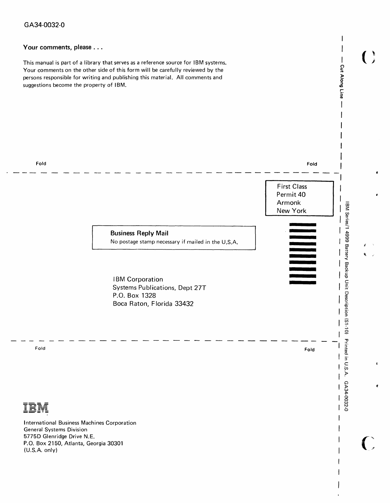#### **Your comments, please .** ..

This manual is part of a library that serves as a reference source for IBM systems. Your comments on the other side of this form will be carefully reviewed by the persons responsible for writing and publishing this material. All comments and suggestions become the property of IBM.



Cut Along Line

 $\mathbf{I}$ 

 $\mathbf{I}$ 

 $\left(\begin{array}{c} \cdot \\ \cdot \end{array}\right)$ J